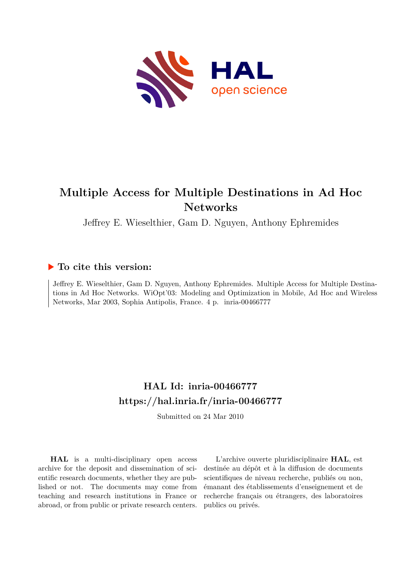

# **Multiple Access for Multiple Destinations in Ad Hoc Networks**

Jeffrey E. Wieselthier, Gam D. Nguyen, Anthony Ephremides

# **To cite this version:**

Jeffrey E. Wieselthier, Gam D. Nguyen, Anthony Ephremides. Multiple Access for Multiple Destinations in Ad Hoc Networks. WiOpt'03: Modeling and Optimization in Mobile, Ad Hoc and Wireless Networks, Mar 2003, Sophia Antipolis, France. 4 p. inria-00466777

# **HAL Id: inria-00466777 <https://hal.inria.fr/inria-00466777>**

Submitted on 24 Mar 2010

**HAL** is a multi-disciplinary open access archive for the deposit and dissemination of scientific research documents, whether they are published or not. The documents may come from teaching and research institutions in France or abroad, or from public or private research centers.

L'archive ouverte pluridisciplinaire **HAL**, est destinée au dépôt et à la diffusion de documents scientifiques de niveau recherche, publiés ou non, émanant des établissements d'enseignement et de recherche français ou étrangers, des laboratoires publics ou privés.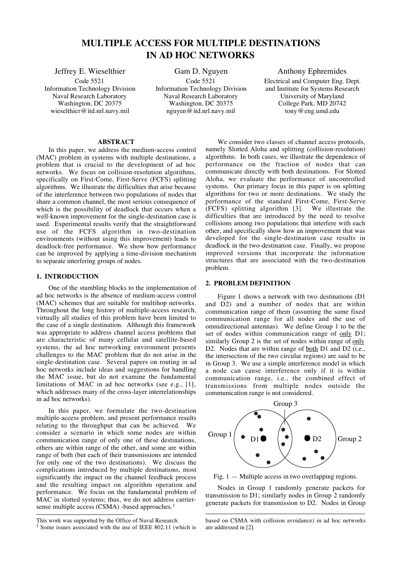# MULTIPLE ACCESS FOR MULTIPLE DESTINATIONS IN AD HOC NETWORKS

Jeffrey E. Wieselthier

Code 5521 Information Technology Division Naval Research Laboratory Washington, DC 20375 wieselthier@itd.nrl.navy.mil

Gam D. Nguyen Code 5521 Information Technology Division Naval Research Laboratory Washington, DC 20375 nguyen@itd.nrl.navy.mil

# Anthony Ephremides Electrical and Computer Eng. Dept. and Institute for Systems Research University of Maryland College Park, MD 20742 tony@eng.umd.edu

#### ABSTRACT

In this paper, we address the medium-access control (MAC) problem in systems with multiple destinations, a problem that is crucial to the development of ad hoc networks. We focus on collision-resolution algorithms, specifically on First-Come, First-Serve (FCFS) splitting algorithms. We illustrate the difficulties that arise because of the interference between two populations of nodes that share a common channel, the most serious consequence of which is the possibility of deadlock that occurs when a well-known improvement for the single-destination case is used. Experimental results verify that the straightforward use of the FCFS algorithm in two-destination environments (without using this improvement) leads to deadlock-free performance. We show how performance can be improved by applying a time-division mechanism to separate interfering groups of nodes.

## 1. INTRODUCTION

One of the stumbling blocks to the implementation of ad hoc networks is the absence of medium-access control (MAC) schemes that are suitable for multihop networks. Throughout the long history of multiple-access research, virtually all studies of this problem have been limited to the case of a single destination. Although this framework was appropriate to address channel access problems that are characteristic of many cellular and satellite-based systems, the ad hoc networking environment presents challenges to the MAC problem that do not arise in the single-destination case. Several papers on routing in ad hoc networks include ideas and suggestions for handling the MAC issue, but do not examine the fundamental limitations of MAC in ad hoc networks (see e.g., [1], which addresses many of the cross-layer interrelationships in ad hoc networks).

In this paper, we formulate the two-destination multiple-access problem, and present performance results relating to the throughput that can be achieved. We consider a scenario in which some nodes are within communication range of only one of these destinations, others are within range of the other, and some are within range of both (but each of their transmissions are intended for only one of the two destinations). We discuss the complications introduced by multiple destinations, most significantly the impact on the channel feedback process and the resulting impact on algorithm operation and performance. We focus on the fundamental problem of MAC in slotted systems; thus, we do not address carriersense multiple access (CSMA) -based approaches.<sup>1</sup>

We consider two classes of channel access protocols, namely Slotted Aloha and splitting (collision-resolution) algorithms. In both cases, we illustrate the dependence of performance on the fraction of nodes that can communicate directly with both destinations. For Slotted Aloha, we evaluate the performance of uncontrolled systems. Our primary focus in this paper is on splitting algorithms for two or more destinations. We study the performance of the standard First-Come, First-Serve<br>(FCFS) splitting algorithm [3]. We illustrate the  $(FCFS)$  splitting algorithm  $[3]$ . difficulties that are introduced by the need to resolve collisions among two populations that interfere with each other, and specifically show how an improvement that was developed for the single-destination case results in deadlock in the two-destination case. Finally, we propose improved versions that incorporate the information structures that are associated with the two-destination problem.

#### 2. PROBLEM DEFINITION

Figure 1 shows a network with two destinations (D1 and D2) and a number of nodes that are within communication range of them (assuming the same fixed communication range for all nodes and the use of omnidirectional antennas). We define Group 1 to be the set of nodes within communication range of only D1; similarly Group 2 is the set of nodes within range of only D2. Nodes that are within range of both D1 and D2 (i.e., the intersection of the two circular regions) are said to be in Group 3. We use a simple interference model in which a node can cause interference only if it is within communication range, i.e., the combined effect of transmissions from multiple nodes outside the communication range is not considered.



Fig.  $1 -$  Multiple access in two overlapping regions.

Nodes in Group 1 randomly generate packets for transmission to D1; similarly nodes in Group 2 randomly generate packets for transmission to D2. Nodes in Group

 $\overline{a}$ 

This work was supported by the Office of Naval Research.

<sup>&</sup>lt;sup>1</sup> Some issues associated with the use of IEEE 802.11 (which is

based on CSMA with collision avoidance) in ad hoc networks are addressed in [2].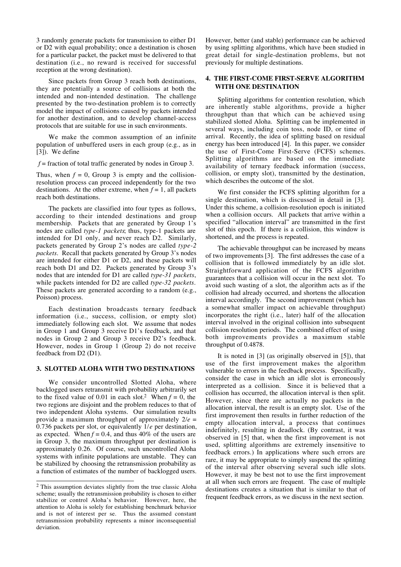3 randomly generate packets for transmission to either D1 or D2 with equal probability; once a destination is chosen for a particular packet, the packet must be delivered to that destination (i.e., no reward is received for successful reception at the wrong destination).

Since packets from Group 3 reach both destinations, they are potentially a source of collisions at both the intended and non-intended destination. The challenge presented by the two-destination problem is to correctly model the impact of collisions caused by packets intended for another destination, and to develop channel-access protocols that are suitable for use in such environments.

We make the common assumption of an infinite population of unbuffered users in each group (e.g., as in [3]). We define

 $f =$  fraction of total traffic generated by nodes in Group 3.

Thus, when  $f = 0$ , Group 3 is empty and the collisionresolution process can proceed independently for the two destinations. At the other extreme, when  $f = 1$ , all packets reach both destinations.

The packets are classified into four types as follows, according to their intended destinations and group membership. Packets that are generated by Group 1's nodes are called type-1 packets; thus, type-1 packets are intended for D1 only, and never reach D2. Similarly, packets generated by Group 2's nodes are called type-2 packets. Recall that packets generated by Group 3's nodes are intended for either D1 or D2, and these packets will reach both D1 and D2. Packets generated by Group 3's nodes that are intended for D1 are called type-31 packets, while packets intended for D2 are called type-32 packets. These packets are generated according to a random (e.g., Poisson) process.

Each destination broadcasts ternary feedback information (i.e., success, collision, or empty slot) immediately following each slot. We assume that nodes in Group 1 and Group 3 receive D1's feedback, and that nodes in Group 2 and Group 3 receive D2's feedback. However, nodes in Group 1 (Group 2) do not receive feedback from D2 (D1).

#### 3. SLOTTED ALOHA WITH TWO DESTINATIONS

We consider uncontrolled Slotted Aloha, where backlogged users retransmit with probability arbitrarily set to the fixed value of 0.01 in each slot.<sup>2</sup> When  $f = 0$ , the two regions are disjoint and the problem reduces to that of two independent Aloha systems. Our simulation results provide a maximum throughput of approximately  $2/e =$ 0.736 packets per slot, or equivalently  $1/e$  per destination, as expected. When  $f = 0.4$ , and thus 40% of the users are in Group 3, the maximum throughput per destination is approximately 0.26. Of course, such uncontrolled Aloha systems with infinite populations are unstable. They can be stabilized by choosing the retransmission probability as a function of estimates of the number of backlogged users.

However, better (and stable) performance can be achieved by using splitting algorithms, which have been studied in great detail for single-destination problems, but not previously for multiple destinations.

# 4. THE FIRST-COME FIRST-SERVE ALGORITHM WITH ONE DESTINATION

Splitting algorithms for contention resolution, which are inherently stable algorithms, provide a higher throughput than that which can be achieved using stabilized slotted Aloha. Splitting can be implemented in several ways, including coin toss, node ID, or time of arrival. Recently, the idea of splitting based on residual energy has been introduced [4]. In this paper, we consider the use of First-Come First-Serve (FCFS) schemes. Splitting algorithms are based on the immediate availability of ternary feedback information (success, collision, or empty slot), transmitted by the destination, which describes the outcome of the slot.

We first consider the FCFS splitting algorithm for a single destination, which is discussed in detail in [3]. Under this scheme, a collision-resolution epoch is initiated when a collision occurs. All packets that arrive within a specified "allocation interval" are transmitted in the first slot of this epoch. If there is a collision, this window is shortened, and the process is repeated.

The achievable throughput can be increased by means of two improvements [3]. The first addresses the case of a collision that is followed immediately by an idle slot. Straightforward application of the FCFS algorithm guarantees that a collision will occur in the next slot. To avoid such wasting of a slot, the algorithm acts as if the collision had already occurred, and shortens the allocation interval accordingly. The second improvement (which has a somewhat smaller impact on achievable throughput) incorporates the right (i.e., later) half of the allocation interval involved in the original collision into subsequent collision resolution periods. The combined effect of using both improvements provides a maximum stable throughput of 0.4878.

It is noted in [3] (as originally observed in [5]), that use of the first improvement makes the algorithm vulnerable to errors in the feedback process. Specifically, consider the case in which an idle slot is erroneously interpreted as a collision. Since it is believed that a collision has occurred, the allocation interval is then split. However, since there are actually no packets in the allocation interval, the result is an empty slot. Use of the first improvement then results in further reduction of the empty allocation interval, a process that continues indefinitely, resulting in deadlock. (By contrast, it was observed in [5] that, when the first improvement is not used, splitting algorithms are extremely insensitive to feedback errors.) In applications where such errors are rare, it may be appropriate to simply suspend the splitting of the interval after observing several such idle slots. However, it may be best not to use the first improvement at all when such errors are frequent. The case of multiple destinations creates a situation that is similar to that of frequent feedback errors, as we discuss in the next section.

 <sup>2</sup> This assumption deviates slightly from the true classic Aloha scheme; usually the retransmission probability is chosen to either stabilize or control Aloha's behavior. However, here, the attention to Aloha is solely for establishing benchmark behavior and is not of interest per se. Thus the assumed constant retransmission probability represents a minor inconsequential deviation.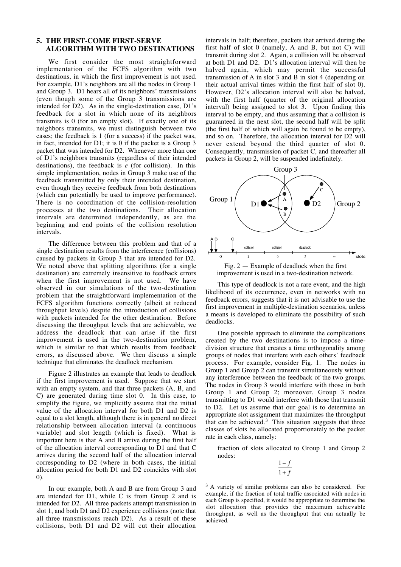## 5. THE FIRST-COME FIRST-SERVE ALGORITHM WITH TWO DESTINATIONS

We first consider the most straightforward implementation of the FCFS algorithm with two destinations, in which the first improvement is not used. For example, D1's neighbors are all the nodes in Group 1 and Group 3. D1 hears all of its neighbors' transmissions (even though some of the Group 3 transmissions are intended for D2). As in the single-destination case, D1's feedback for a slot in which none of its neighbors transmits is 0 (for an empty slot). If exactly one of its neighbors transmits, we must distinguish between two cases; the feedback is 1 (for a success) if the packet was, in fact, intended for D1; it is 0 if the packet is a Group 3 packet that was intended for D2. Whenever more than one of D1's neighbors transmits (regardless of their intended destinations), the feedback is  $e$  (for collision). In this simple implementation, nodes in Group 3 make use of the feedback transmitted by only their intended destination, even though they receive feedback from both destinations (which can potentially be used to improve performance). There is no coordination of the collision-resolution processes at the two destinations. Their allocation intervals are determined independently, as are the beginning and end points of the collision resolution intervals.

The difference between this problem and that of a single destination results from the interference (collisions) caused by packets in Group 3 that are intended for D2. We noted above that splitting algorithms (for a single destination) are extremely insensitive to feedback errors when the first improvement is not used. We have observed in our simulations of the two-destination problem that the straightforward implementation of the FCFS algorithm functions correctly (albeit at reduced throughput levels) despite the introduction of collisions with packets intended for the other destination. Before discussing the throughput levels that are achievable, we address the deadlock that can arise if the first improvement is used in the two-destination problem, which is similar to that which results from feedback errors, as discussed above. We then discuss a simple technique that eliminates the deadlock mechanism.

Figure 2 illustrates an example that leads to deadlock if the first improvement is used. Suppose that we start with an empty system, and that three packets (A, B, and C) are generated during time slot 0. In this case, to simplify the figure, we implicitly assume that the initial value of the allocation interval for both D1 and D2 is equal to a slot length, although there is in general no direct relationship between allocation interval (a continuous variable) and slot length (which is fixed). What is important here is that A and B arrive during the first half of the allocation interval corresponding to D1 and that C arrives during the second half of the allocation interval corresponding to D2 (where in both cases, the initial allocation period for both D1 and D2 coincides with slot 0).

In our example, both A and B are from Group 3 and are intended for D1, while C is from Group 2 and is intended for D2. All three packets attempt transmission in slot 1, and both D1 and D2 experience collisions (note that all three transmissions reach D2). As a result of these collisions, both D1 and D2 will cut their allocation

intervals in half; therefore, packets that arrived during the first half of slot 0 (namely, A and B, but not C) will transmit during slot 2. Again, a collision will be observed at both D1 and D2. D1's allocation interval will then be halved again, which may permit the successful transmission of A in slot 3 and B in slot 4 (depending on their actual arrival times within the first half of slot 0). However, D2's allocation interval will also be halved, with the first half (quarter of the original allocation interval) being assigned to slot 3. Upon finding this interval to be empty, and thus assuming that a collision is guaranteed in the next slot, the second half will be split (the first half of which will again be found to be empty), and so on. Therefore, the allocation interval for D2 will never extend beyond the third quarter of slot 0. Consequently, transmission of packet C, and thereafter all packets in Group 2, will be suspended indefinitely.





This type of deadlock is not a rare event, and the high likelihood of its occurrence, even in networks with no feedback errors, suggests that it is not advisable to use the first improvement in multiple-destination scenarios, unless a means is developed to eliminate the possibility of such deadlocks.

One possible approach to eliminate the complications created by the two destinations is to impose a timedivision structure that creates a time orthogonality among groups of nodes that interfere with each others' feedback process. For example, consider Fig. 1. The nodes in Group 1 and Group 2 can transmit simultaneously without any interference between the feedback of the two groups. The nodes in Group 3 would interfere with those in both Group 1 and Group 2; moreover, Group 3 nodes transmitting to D1 would interfere with those that transmit to D2. Let us assume that our goal is to determine an appropriate slot assignment that maximizes the throughput that can be achieved. $3$  This situation suggests that three classes of slots be allocated proportionately to the packet rate in each class, namely:

fraction of slots allocated to Group 1 and Group 2 nodes:

$$
\frac{1-f}{1+f}
$$

<sup>&</sup>lt;sup>3</sup> A variety of similar problems can also be considered. For example, if the fraction of total traffic associated with nodes in each Group is specified, it would be appropriate to determine the slot allocation that provides the maximum achievable throughput, as well as the throughput that can actually be achieved.